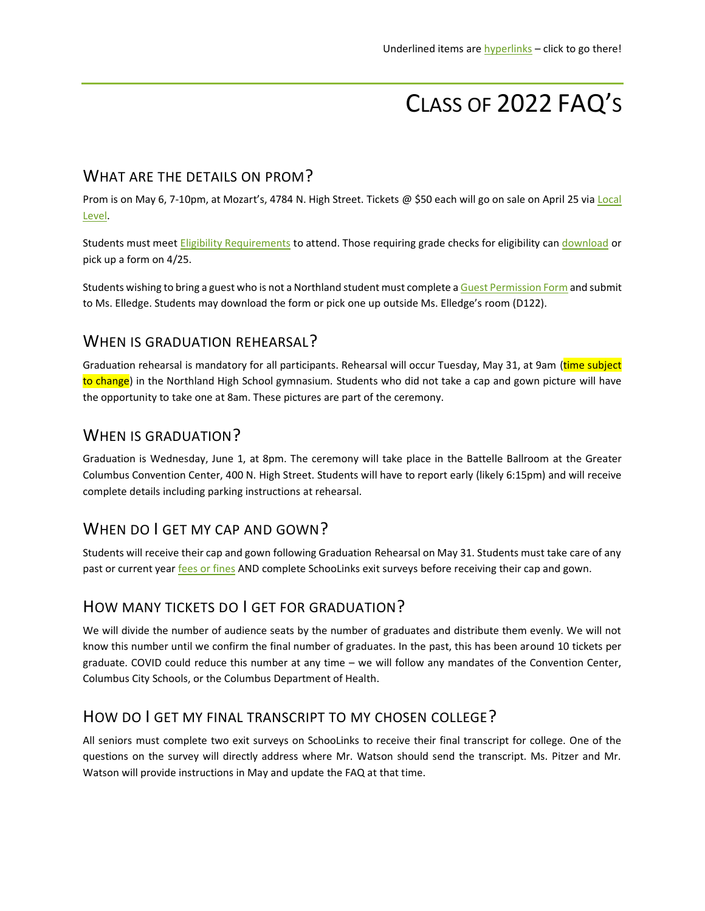# CLASS OF 2022 FAQ'S

#### WHAT ARE THE DETAILS ON PROM?

Prom is on May 6, 7-10pm, at Mozart's, 4784 N. High Street. Tickets @ \$50 each will go on sale on April 25 via [Local](https://www.locallevelevents.com/events/details/20404)  [Level.](https://www.locallevelevents.com/events/details/20404)

Students must mee[t Eligibility Requirements](https://drive.google.com/file/d/1vLhQiwLKVwcrq6k8lhxYR477pNJ7Yh20/view?usp=sharing) to attend. Those requiring grade checks for eligibility can [download](https://docs.google.com/document/d/1MK8SRHuab4CvV6ev6n6XyCbxWdNZmbjs/edit?usp=sharing&ouid=107896520199341035732&rtpof=true&sd=true) or pick up a form on 4/25.

Students wishing to bring a guest who is not a Northland student must complete [a Guest Permission Form](https://drive.google.com/file/d/1Cg3BK08PBCZwWI8xtB7SuXzRGCrP82Ea/view?usp=sharing) and submit to Ms. Elledge. Students may download the form or pick one up outside Ms. Elledge's room (D122).

## WHEN IS GRADUATION REHEARSAL?

Graduation rehearsal is mandatory for all participants. Rehearsal will occur Tuesday, May 31, at 9am (time subject to change) in the Northland High School gymnasium. Students who did not take a cap and gown picture will have the opportunity to take one at 8am. These pictures are part of the ceremony.

## WHEN IS GRADUATION?

Graduation is Wednesday, June 1, at 8pm. The ceremony will take place in the Battelle Ballroom at the Greater Columbus Convention Center, 400 N. High Street. Students will have to report early (likely 6:15pm) and will receive complete details including parking instructions at rehearsal.

## WHEN DO I GET MY CAP AND GOWN?

Students will receive their cap and gown following Graduation Rehearsal on May 31. Students must take care of any past or current year [fees or fines](http://tinyurl.com/SrFees) AND complete SchooLinks exit surveys before receiving their cap and gown.

## HOW MANY TICKETS DO I GET FOR GRADUATION?

We will divide the number of audience seats by the number of graduates and distribute them evenly. We will not know this number until we confirm the final number of graduates. In the past, this has been around 10 tickets per graduate. COVID could reduce this number at any time – we will follow any mandates of the Convention Center, Columbus City Schools, or the Columbus Department of Health.

## HOW DO I GET MY FINAL TRANSCRIPT TO MY CHOSEN COLLEGE?

All seniors must complete two exit surveys on SchooLinks to receive their final transcript for college. One of the questions on the survey will directly address where Mr. Watson should send the transcript. Ms. Pitzer and Mr. Watson will provide instructions in May and update the FAQ at that time.